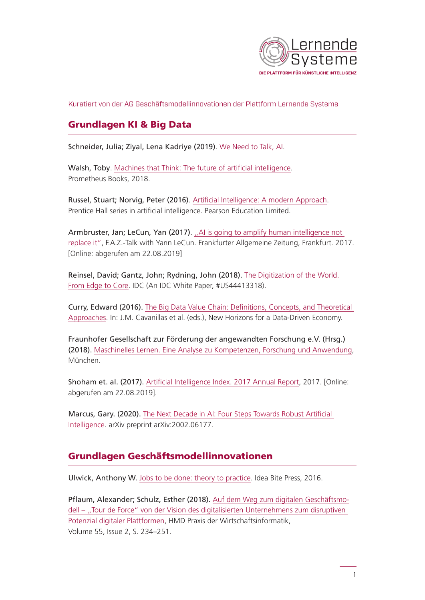

Kuratiert von der AG Geschäftsmodellinnovationen der Plattform Lernende Systeme

### Grundlagen KI & Big Data

Schneider, Julia; Ziyal, Lena Kadriye (2019). [We Need to Talk, AI](https://weneedtotalk.ai/we-need-to-talk-ai-free-read/).

Walsh, Toby. [Machines that Think: The future of artificial intelligence](https://dl.acm.org/citation.cfm?id=3217494). Prometheus Books, 2018.

Russel, Stuart; Norvig, Peter (2016). [Artificial Intelligence: A modern Approach](https://books.google.de/books?id=XS9CjwEACAAJ&dq=artificial+intelligence+a+modern+approach&hl=de&sa=X&ved=0ahUKEwjRoMuMkZnkAhUB-aQKHRZhATkQ6AEINTAB). Prentice Hall series in artificial intelligence. Pearson Education Limited.

Armbruster, Jan; LeCun, Yan (2017). "Al is going to amplify human intelligence not [replace it"](https://www.faz.net/aktuell/wirtschaft/netzwirtschaft/f-a-z-talk-with-yann-lecun-ai-is-going-to-amplify-human-intelligence-not-replace-it-15059432.html), F.A.Z.-Talk with Yann LeCun. Frankfurter Allgemeine Zeitung, Frankfurt. 2017. [Online: abgerufen am 22.08.2019]

Reinsel, David; Gantz, John; Rydning, John (2018). [The Digitization of the World.](https://www.seagate.com/files/www-content/our-story/trends/files/idc-seagate-dataage-whitepaper.pdf)  [From Edge to Core.](https://www.seagate.com/files/www-content/our-story/trends/files/idc-seagate-dataage-whitepaper.pdf) IDC (An IDC White Paper, #US44413318).

Curry, Edward (2016). [The Big Data Value Chain: Definitions, Concepts, and Theoretical](https://www.oapen.org/download?type=document&docid=1002241#page=47)  [Approaches.](https://www.oapen.org/download?type=document&docid=1002241#page=47) In: J.M. Cavanillas et al. (eds.), New Horizons for a Data-Driven Economy.

Fraunhofer Gesellschaft zur Förderung der angewandten Forschung e.V. (Hrsg.) (2018). [Maschinelles Lernen. Eine Analyse zu Kompetenzen, Forschung und Anwendung](https://www.bigdata.fraunhofer.de/content/dam/bigdata/de/documents/Publikationen/Fraunhofer_Studie_ML_201809.pdf), München.

Shoham et. al. (2017). [Artificial Intelligence Index. 2017 Annual Report,](http://cdn.aiindex.org/2017-report.pdf) 2017. [Online: abgerufen am 22.08.2019].

Marcus, Gary. (2020). [The Next Decade in AI: Four Steps Towards Robust Artificial](https://arxiv.org/ftp/arxiv/papers/2002/2002.06177.pdf)  [Intelligence](https://arxiv.org/ftp/arxiv/papers/2002/2002.06177.pdf). arXiv preprint arXiv:2002.06177.

### Grundlagen Geschäftsmodellinnovationen

Ulwick, Anthony W. [Jobs to be done: theory to practice](https://books.google.de/books?id=TbtFvgAACAAJ). Idea Bite Press, 2016.

Pflaum, Alexander; Schulz, Esther (2018). [Auf dem Weg zum digitalen Geschäftsmo](https://link.springer.com/article/10.1365/s40702-018-0401-2)dell – "Tour de Force" von der Vision des digitalisierten Unternehmens zum disruptiven [Potenzial digitaler Plattformen](https://link.springer.com/article/10.1365/s40702-018-0401-2), HMD Praxis der Wirtschaftsinformatik, Volume 55, Issue 2, S. 234–251.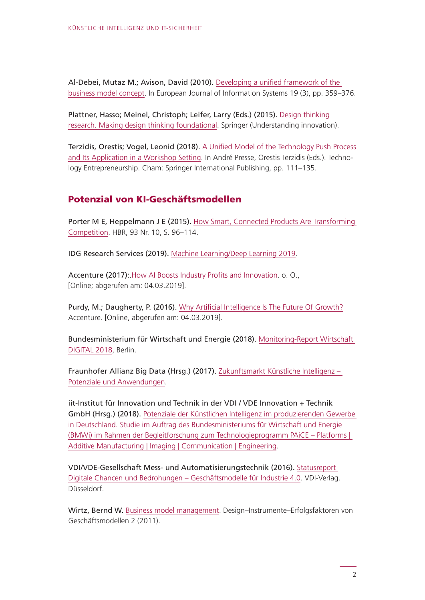Al-Debei, Mutaz M.; Avison, David (2010). [Developing a unified framework of the](https://link.springer.com/chapter/10.1007/978-3-319-73509-2_6)  [business model concept](https://link.springer.com/chapter/10.1007/978-3-319-73509-2_6). In European Journal of Information Systems 19 (3), pp. 359–376.

Plattner, Hasso; Meinel, Christoph; Leifer, Larry (Eds.) (2015). [Design thinking](https://books.google.de/books?id=b7jfCgAAQBAJ)  [research. Making design thinking foundational](https://books.google.de/books?id=b7jfCgAAQBAJ). Springer (Understanding innovation).

Terzidis, Orestis; Vogel, Leonid (2018). [A Unified Model of the Technology Push Process](https://link.springer.com/chapter/10.1007/978-3-319-73509-2_6)  [and Its Application in a Workshop Setting.](https://link.springer.com/chapter/10.1007/978-3-319-73509-2_6) In André Presse, Orestis Terzidis (Eds.). Technology Entrepreneurship. Cham: Springer International Publishing, pp. 111–135.

#### Potenzial von KI-Geschäftsmodellen

Porter M E, Heppelmann J E (2015). How Smart, Connected Products Are Transforming [Competition.](https://www.wik.org/fileadmin/Sonstige_Dateien/IT-Sicherheit_in_KMU/Aktuelle_Lage_der_IT-Sicherheit_in_KMU_-_WIK.pdf) HBR, 93 Nr. 10, S. 96–114.

IDG Research Services (2019). [Machine Learning/Deep Learning 2019](https://blog.techdata.de/app/uploads/2019/04/Tech-Data_IDG_ML-DL-Studie2019.pdf).

Accenture (2017):.[How AI Boosts Industry Profits and Innovation.](https://www.accenture.com/fr-fr/_acnmedia/36dc7f76eab444cab6a7f44017cc3997) o. O., [Online; abgerufen am: 04.03.2019].

Purdy, M.; Daugherty, P. (2016). [Why Artificial Intelligence Is The Future Of Growth?](https://www.accenture.com/us-en/careers) Accenture. [Online, abgerufen am: 04.03.2019].

Bundesministerium für Wirtschaft und Energie (2018). [Monitoring-Report Wirtschaft](https://www.bmwi.de/Redaktion/DE/Publikationen/Digitale-Welt/monitoring-report-wirtschaft-digital-2018-kurzfassung.pdf?__blob=publicationFile&v=22)  [DIGITAL 2018](https://www.bmwi.de/Redaktion/DE/Publikationen/Digitale-Welt/monitoring-report-wirtschaft-digital-2018-kurzfassung.pdf?__blob=publicationFile&v=22), Berlin.

Fraunhofer Allianz Big Data (Hrsg.) (2017). [Zukunftsmarkt Künstliche Intelligenz –](https://www.iais.fraunhofer.de/content/dam/bigdata/de/documents/Publikationen/KI-Potenzialanalyse_2017.pdf)  [Potenziale und Anwendungen](https://www.iais.fraunhofer.de/content/dam/bigdata/de/documents/Publikationen/KI-Potenzialanalyse_2017.pdf).

iit-Institut für Innovation und Technik in der VDI / VDE Innovation + Technik GmbH (Hrsg.) (2018). [Potenziale der Künstlichen Intelligenz im produzierenden Gewerbe](https://www.bmwi.de/Redaktion/DE/Publikationen/Studien/potenziale-kuenstlichen-intelligenz-im-produzierenden-gewerbe-in-deutschland.pdf?__blob=publicationFile&v=8)  [in Deutschland. Studie im Auftrag des Bundesministeriums für Wirtschaft und Energie](https://www.bmwi.de/Redaktion/DE/Publikationen/Studien/potenziale-kuenstlichen-intelligenz-im-produzierenden-gewerbe-in-deutschland.pdf?__blob=publicationFile&v=8)  [\(BMWi\) im Rahmen der Begleitforschung zum Technologieprogramm PAiCE – Platforms |](https://www.bmwi.de/Redaktion/DE/Publikationen/Studien/potenziale-kuenstlichen-intelligenz-im-produzierenden-gewerbe-in-deutschland.pdf?__blob=publicationFile&v=8)  [Additive Manufacturing | Imaging | Communication | Engineering](https://www.bmwi.de/Redaktion/DE/Publikationen/Studien/potenziale-kuenstlichen-intelligenz-im-produzierenden-gewerbe-in-deutschland.pdf?__blob=publicationFile&v=8).

VDI/VDE-Gesellschaft Mess- und Automatisierungstechnik (2016). [Statusreport](https://www.vdi.de/ueber-uns/presse/publikationen/details/geschaeftsmodelle-fuer-industrie-40-digitale-chancen-und-bedrohungen)  [Digitale Chancen und Bedrohungen – Geschäftsmodelle für Industrie 4.0](https://www.vdi.de/ueber-uns/presse/publikationen/details/geschaeftsmodelle-fuer-industrie-40-digitale-chancen-und-bedrohungen). VDI-Verlag. Düsseldorf.

Wirtz, Bernd W. [Business model management.](https://sisis.rz.htw-berlin.de/inh2010/12378098.pdf) Design–Instrumente–Erfolgsfaktoren von Geschäftsmodellen 2 (2011).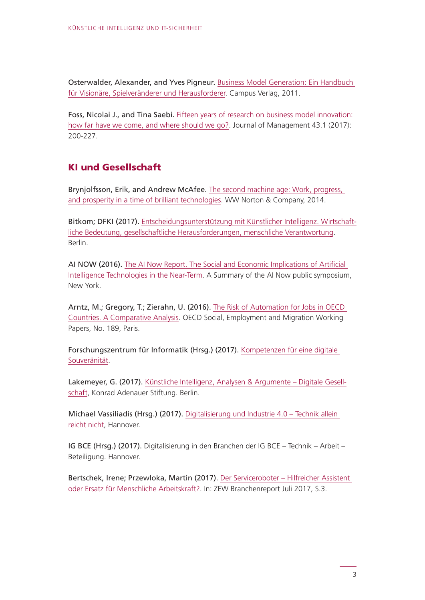Osterwalder, Alexander, and Yves Pigneur. [Business Model Generation: Ein Handbuch](https://books.google.de/books?id=bygXDuTtd0wC)  [für Visionäre, Spielveränderer und Herausforderer.](https://books.google.de/books?id=bygXDuTtd0wC) Campus Verlag, 2011.

Foss, Nicolai J., and Tina Saebi. [Fifteen years of research on business model innovation:](https://journals.sagepub.com/doi/pdf/10.1177/0149206316675927)  [how far have we come, and where should we go?.](https://journals.sagepub.com/doi/pdf/10.1177/0149206316675927) Journal of Management 43.1 (2017): 200-227.

# KI und Gesellschaft

Brynjolfsson, Erik, and Andrew McAfee. [The second machine age: Work, progress,](http://www.as.utexas.edu/astronomy/education/fall15/wheeler/secure/ExponentialGrowth.pdf)  [and prosperity in a time of brilliant technologies.](http://www.as.utexas.edu/astronomy/education/fall15/wheeler/secure/ExponentialGrowth.pdf) WW Norton & Company, 2014.

Bitkom; DFKI (2017). [Entscheidungsunterstützung mit Künstlicher Intelligenz. Wirtschaft](https://www.bitkom.org/sites/default/files/file/import/FirstSpirit-1496912702488Bitkom-DFKI-Positionspapier-Digital-Gipfel-AI-und-Entscheidungen-13062017-2.pdf)[liche Bedeutung, gesellschaftliche Herausforderungen, menschliche Verantwortung](https://www.bitkom.org/sites/default/files/file/import/FirstSpirit-1496912702488Bitkom-DFKI-Positionspapier-Digital-Gipfel-AI-und-Entscheidungen-13062017-2.pdf). Berlin.

AI NOW (2016). [The AI Now Report. The Social and Economic Implications of Artificial](https://ainowinstitute.org/AI_Now_2016_Report.pdf)  [Intelligence Technologies in the Near-Term.](https://ainowinstitute.org/AI_Now_2016_Report.pdf) A Summary of the AI Now public symposium, New York.

Arntz, M.; Gregory, T.; Zierahn, U. (2016). [The Risk of Automation for Jobs in OECD](https://ifuturo.org/sites/default/files/docs/automation.pdf)  [Countries. A Comparative Analysis](https://ifuturo.org/sites/default/files/docs/automation.pdf). OECD Social, Employment and Migration Working Papers, No. 189, Paris.

Forschungszentrum für Informatik (Hrsg.) (2017). [Kompetenzen für eine digitale](https://www.fzi.de/fileadmin/user_upload/PDF/20170612_Kompetenzen_fuer_eine_digitale_Souveraenitaet_final.pdf)  [Souveränität.](https://www.fzi.de/fileadmin/user_upload/PDF/20170612_Kompetenzen_fuer_eine_digitale_Souveraenitaet_final.pdf)

Lakemeyer, G. (2017). [Künstliche Intelligenz, Analysen & Argumente – Digitale Gesell](https://www.kas.de/documents/252038/253252/7_dokument_dok_pdf_49369_1.pdf/be57db11-1f3f-1a53-cf4e-bbe9f90fd9e1?version=1.0&t=1539648932000)[schaft](https://www.kas.de/documents/252038/253252/7_dokument_dok_pdf_49369_1.pdf/be57db11-1f3f-1a53-cf4e-bbe9f90fd9e1?version=1.0&t=1539648932000), Konrad Adenauer Stiftung. Berlin.

Michael Vassiliadis (Hrsg.) (2017). [Digitalisierung und Industrie 4.0 – Technik allein](https://www.researchgate.net/profile/Norbert_Malanowski/publication/321532885_Digitalisierung_und_Industrie_40_-_Technik_allein_reicht_nicht/links/5a26a319aca2727dd88376f8/Digitalisierung-und-Industrie-40-Technik-allein-reicht-nicht.pdf)  [reicht nicht,](https://www.researchgate.net/profile/Norbert_Malanowski/publication/321532885_Digitalisierung_und_Industrie_40_-_Technik_allein_reicht_nicht/links/5a26a319aca2727dd88376f8/Digitalisierung-und-Industrie-40-Technik-allein-reicht-nicht.pdf) Hannover.

IG BCE (Hrsg.) (2017). Digitalisierung in den Branchen der IG BCE – Technik – Arbeit – Beteiligung. Hannover.

Bertschek, Irene; Przewloka, Martin (2017). [Der Serviceroboter – Hilfreicher Assistent](http://ftp.zew.de/pub/zew-docs/brepikt/201702BrepIKT.pdf)  [oder Ersatz für Menschliche Arbeitskraft?.](http://ftp.zew.de/pub/zew-docs/brepikt/201702BrepIKT.pdf) In: ZEW Branchenreport Juli 2017, S.3.